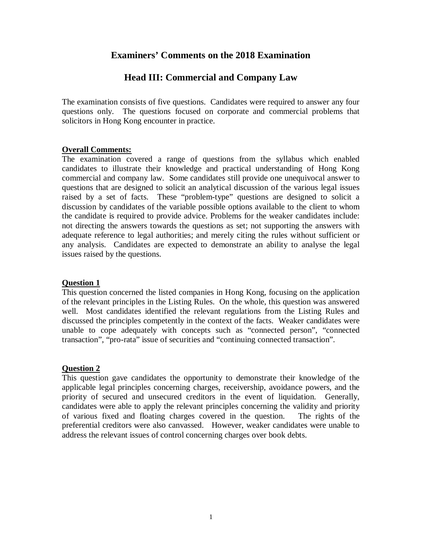# **Examiners' Comments on the 2018 Examination**

# **Head III: Commercial and Company Law**

The examination consists of five questions. Candidates were required to answer any four questions only. The questions focused on corporate and commercial problems that solicitors in Hong Kong encounter in practice.

#### **Overall Comments:**

The examination covered a range of questions from the syllabus which enabled candidates to illustrate their knowledge and practical understanding of Hong Kong commercial and company law. Some candidates still provide one unequivocal answer to questions that are designed to solicit an analytical discussion of the various legal issues raised by a set of facts. These "problem-type" questions are designed to solicit a discussion by candidates of the variable possible options available to the client to whom the candidate is required to provide advice. Problems for the weaker candidates include: not directing the answers towards the questions as set; not supporting the answers with adequate reference to legal authorities; and merely citing the rules without sufficient or any analysis. Candidates are expected to demonstrate an ability to analyse the legal issues raised by the questions.

## **Question 1**

This question concerned the listed companies in Hong Kong, focusing on the application of the relevant principles in the Listing Rules. On the whole, this question was answered well. Most candidates identified the relevant regulations from the Listing Rules and discussed the principles competently in the context of the facts. Weaker candidates were unable to cope adequately with concepts such as "connected person", "connected transaction", "pro-rata" issue of securities and "continuing connected transaction".

## **Question 2**

This question gave candidates the opportunity to demonstrate their knowledge of the applicable legal principles concerning charges, receivership, avoidance powers, and the priority of secured and unsecured creditors in the event of liquidation. Generally, candidates were able to apply the relevant principles concerning the validity and priority of various fixed and floating charges covered in the question. The rights of the preferential creditors were also canvassed. However, weaker candidates were unable to address the relevant issues of control concerning charges over book debts.